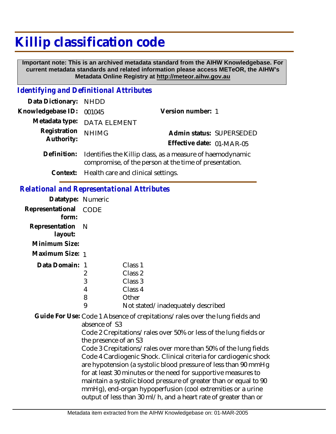## **Killip classification code**

 **Important note: This is an archived metadata standard from the AIHW Knowledgebase. For current metadata standards and related information please access METeOR, the AIHW's Metadata Online Registry at http://meteor.aihw.gov.au**

## *Identifying and Definitional Attributes*

| Data Dictionary: NHDD    |                                                                       |                           |                          |
|--------------------------|-----------------------------------------------------------------------|---------------------------|--------------------------|
| Knowledgebase ID: 001045 |                                                                       | Version number: 1         |                          |
|                          | Metadata type: DATA ELEMENT                                           |                           |                          |
| Registration             | <b>NHIMG</b>                                                          |                           | Admin status: SUPERSEDED |
| Authority:               |                                                                       | Effective date: 01-MAR-05 |                          |
|                          | Definition: Identifies the Killip class, as a measure of haemodynamic |                           |                          |

compromise, of the person at the time of presentation.

**Context:** Health care and clinical settings.

## *Relational and Representational Attributes*

| Datatype: Numeric           |      |                                   |
|-----------------------------|------|-----------------------------------|
| Representational<br>form:   | CODE |                                   |
| Representation N<br>layout: |      |                                   |
| Minimum Size:               |      |                                   |
| Maximum Size: 1             |      |                                   |
| Data Domain: 1              |      | Class <sub>1</sub>                |
|                             | 2    | Class 2                           |
|                             | 3    | Class 3                           |
|                             | 4    | Class 4                           |
|                             | 8    | Other                             |
|                             | 9    | Not stated/inadequately described |

Guide For Use: Code 1 Absence of crepitations/rales over the lung fields and absence of S3

> Code 2 Crepitations/rales over 50% or less of the lung fields or the presence of an S3

Code 3 Crepitations/rales over more than 50% of the lung fields Code 4 Cardiogenic Shock. Clinical criteria for cardiogenic shock are hypotension (a systolic blood pressure of less than 90 mmHg for at least 30 minutes or the need for supportive measures to maintain a systolic blood pressure of greater than or equal to 90 mmHg), end-organ hypoperfusion (cool extremities or a urine output of less than 30 ml/h, and a heart rate of greater than or